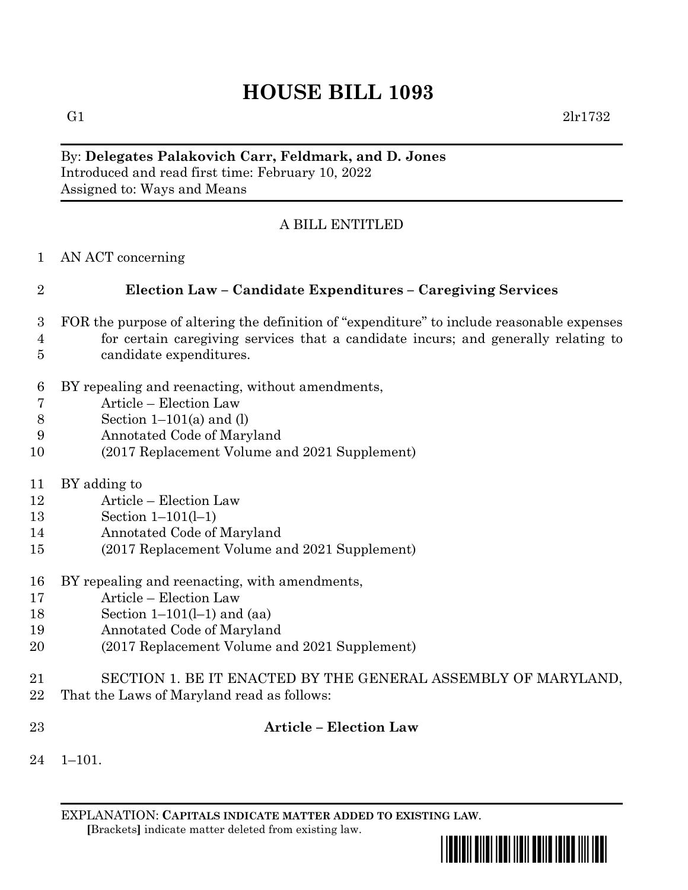# **HOUSE BILL 1093**

G1  $2 \text{lr} 1732$ 

### By: **Delegates Palakovich Carr, Feldmark, and D. Jones** Introduced and read first time: February 10, 2022 Assigned to: Ways and Means

## A BILL ENTITLED

AN ACT concerning

## **Election Law – Candidate Expenditures – Caregiving Services**

- FOR the purpose of altering the definition of "expenditure" to include reasonable expenses for certain caregiving services that a candidate incurs; and generally relating to candidate expenditures.
- BY repealing and reenacting, without amendments,
- Article Election Law
- 8 Section  $1-101(a)$  and (l)
- Annotated Code of Maryland
- (2017 Replacement Volume and 2021 Supplement)
- BY adding to
- Article Election Law
- Section 1–101(l–1)
- Annotated Code of Maryland
- (2017 Replacement Volume and 2021 Supplement)
- BY repealing and reenacting, with amendments,
- Article Election Law
- Section 1–101(l–1) and (aa)
- Annotated Code of Maryland
- (2017 Replacement Volume and 2021 Supplement)
- SECTION 1. BE IT ENACTED BY THE GENERAL ASSEMBLY OF MARYLAND,
- That the Laws of Maryland read as follows:
- 

#### **Article – Election Law**

 $24 \quad 1 - 101$ .

EXPLANATION: **CAPITALS INDICATE MATTER ADDED TO EXISTING LAW**.  **[**Brackets**]** indicate matter deleted from existing law.